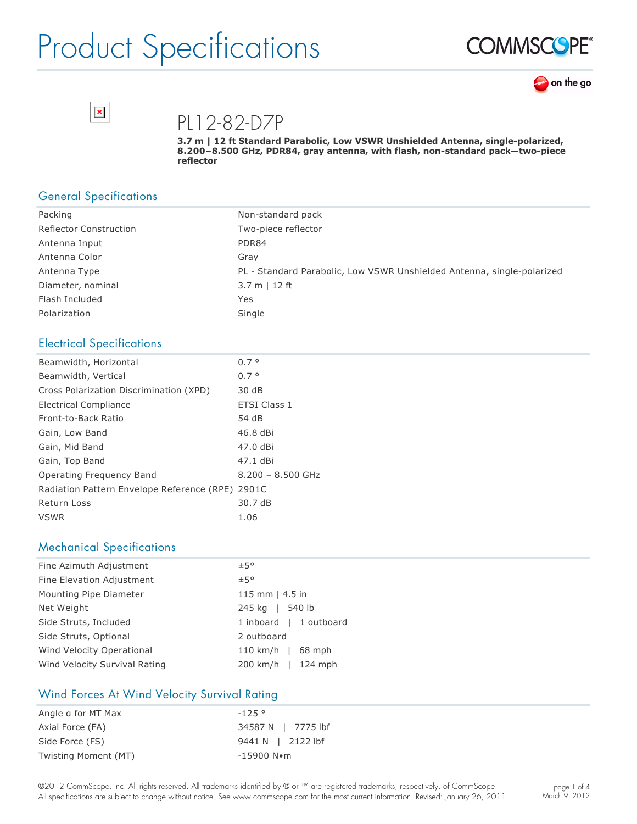





PL12-82-D7P

3.7 m | 12 ft Standard Parabolic, Low VSWR Unshielded Antenna, single-polarized, 8.200-8.500 GHz, PDR84, gray antenna, with flash, non-standard pack-two-piece **reflector**

## General Specifications

| Packing                       | Non-standard pack                                                      |
|-------------------------------|------------------------------------------------------------------------|
| <b>Reflector Construction</b> | Two-piece reflector                                                    |
| Antenna Input                 | PDR84                                                                  |
| Antenna Color                 | Gray                                                                   |
| Antenna Type                  | PL - Standard Parabolic, Low VSWR Unshielded Antenna, single-polarized |
| Diameter, nominal             | $3.7 m$   12 ft                                                        |
| Flash Included                | Yes                                                                    |
| Polarization                  | Single                                                                 |

### Electrical Specifications

| Beamwidth, Horizontal                      | $0.7^{\circ}$       |
|--------------------------------------------|---------------------|
| Beamwidth, Vertical                        | $0.7^{\circ}$       |
| Cross Polarization Discrimination (XPD)    | 30 dB               |
| Electrical Compliance                      | <b>ETSI Class 1</b> |
| Front-to-Back Ratio                        | 54 dB               |
| Gain, Low Band                             | 46.8 dBi            |
| Gain, Mid Band                             | 47.0 dBi            |
| Gain, Top Band                             | 47.1 dBi            |
| Operating Frequency Band                   | $8.200 - 8.500$ GHz |
| Radiation Pattern Envelope Reference (RPE) | 2901C               |
| <b>Return Loss</b>                         | 30.7 dB             |
| <b>VSWR</b>                                | 1.06                |

### Mechanical Specifications

| Fine Azimuth Adjustment       | ±5°                    |
|-------------------------------|------------------------|
| Fine Elevation Adjustment     | ±5°                    |
| Mounting Pipe Diameter        | 115 mm $ $ 4.5 in      |
| Net Weight                    | 245 kg   540 lb        |
| Side Struts, Included         | 1 inboard   1 outboard |
| Side Struts, Optional         | 2 outboard             |
| Wind Velocity Operational     | 110 km/h   $68$ mph    |
| Wind Velocity Survival Rating | 200 km/h   124 mph     |

### Wind Forces At Wind Velocity Survival Rating

| Angle a for MT Max   | $-125°$                |
|----------------------|------------------------|
| Axial Force (FA)     | 34587 N   7775 lbf     |
| Side Force (FS)      | 9441 N   2122 lbf      |
| Twisting Moment (MT) | $-15900$ N $\bullet$ m |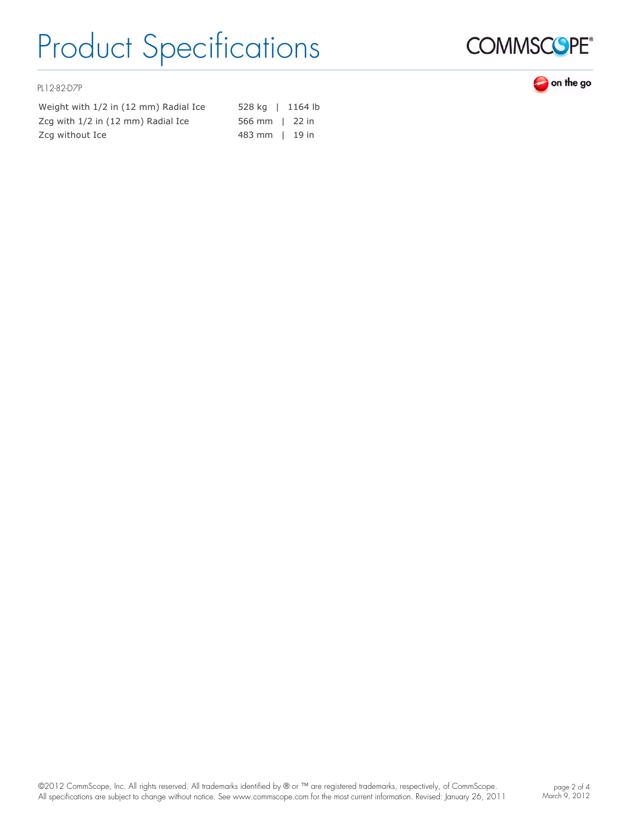

### on the go

PL12-82-D7P

Weight with 1/2 in (12 mm) Radial Ice 528 kg | 1164 lb Zcg with  $1/2$  in (12 mm) Radial Ice 566 mm  $\mid$  22 in Zcg without Ice **483 mm** | 19 in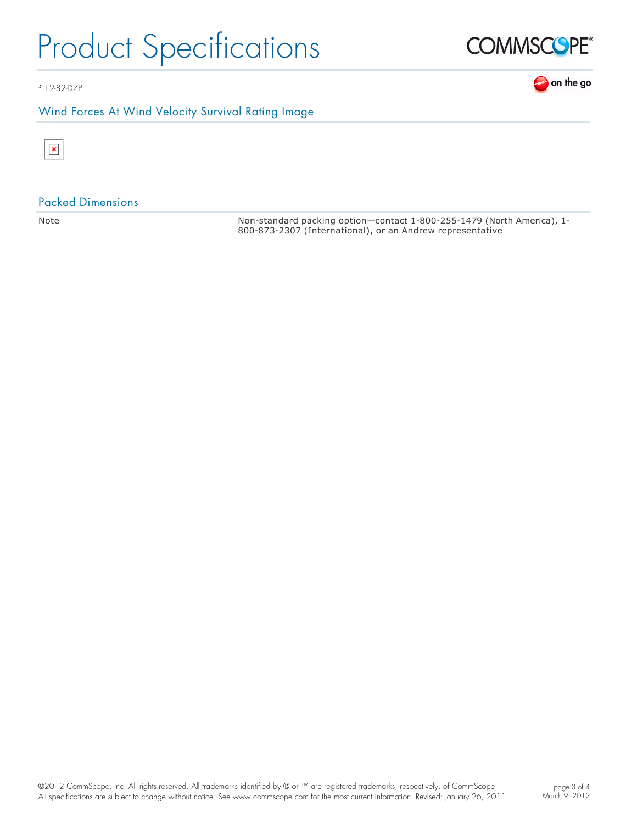

## Wind Forces At Wind Velocity Survival Rating Image





 $\mathbf{I}$ 

#### Packed Dimensions

Note **Non-standard packing option—contact 1-800-255-1479 (North America), 1-**800-873-2307 (International), or an Andrew representative